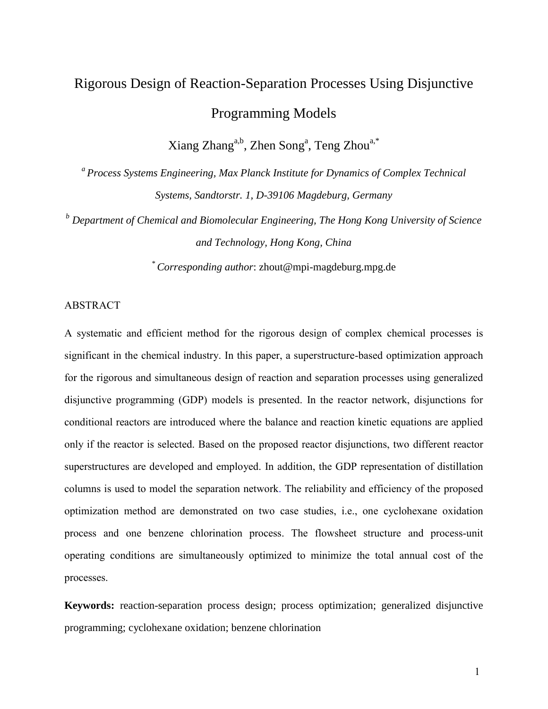# Rigorous Design of Reaction-Separation Processes Using Disjunctive Programming Models

Xiang Zhang<sup>a,b</sup>, Zhen Song<sup>a</sup>, Teng Zhou<sup>a,\*</sup>

<sup>a</sup> Process Systems Engineering, Max Planck Institute for Dynamics of Complex Technical *Systems, Sandtorstr. 1, D-39106 Magdeburg, Germany*

*<sup>b</sup> Department of Chemical and Biomolecular Engineering, The Hong Kong University of Science and Technology, Hong Kong, China*

*\* Corresponding author*: [zhout@mpi-magdeburg.mpg.de](mailto:sundmacher@mpi-magdeburg.mpg.de)

# ABSTRACT

A systematic and efficient method for the rigorous design of complex chemical processes is significant in the chemical industry. In this paper, a superstructure-based optimization approach for the rigorous and simultaneous design of reaction and separation processes using generalized disjunctive programming (GDP) models is presented. In the reactor network, disjunctions for conditional reactors are introduced where the balance and reaction kinetic equations are applied only if the reactor is selected. Based on the proposed reactor disjunctions, two different reactor superstructures are developed and employed. In addition, the GDP representation of distillation columns is used to model the separation network. The reliability and efficiency of the proposed optimization method are demonstrated on two case studies, i.e., one cyclohexane oxidation process and one benzene chlorination process. The flowsheet structure and process-unit operating conditions are simultaneously optimized to minimize the total annual cost of the processes.

**Keywords:** reaction-separation process design; process optimization; generalized disjunctive programming; cyclohexane oxidation; benzene chlorination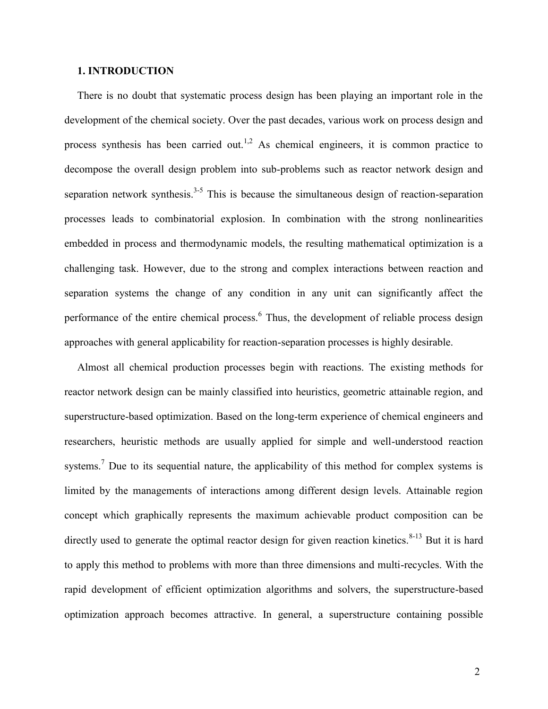# **1. INTRODUCTION**

There is no doubt that systematic process design has been playing an important role in the development of the chemical society. Over the past decades, various work on process design and process synthesis has been carried out.<sup>1,2</sup> As chemical engineers, it is common practice to decompose the overall design problem into sub-problems such as reactor network design and separation network synthesis. $3-5$  This is because the simultaneous design of reaction-separation processes leads to combinatorial explosion. In combination with the strong nonlinearities embedded in process and thermodynamic models, the resulting mathematical optimization is a challenging task. However, due to the strong and complex interactions between reaction and separation systems the change of any condition in any unit can significantly affect the performance of the entire chemical process.<sup>6</sup> Thus, the development of reliable process design approaches with general applicability for reaction-separation processes is highly desirable.

Almost all chemical production processes begin with reactions. The existing methods for reactor network design can be mainly classified into heuristics, geometric attainable region, and superstructure-based optimization. Based on the long-term experience of chemical engineers and researchers, heuristic methods are usually applied for simple and well-understood reaction systems.<sup>7</sup> Due to its sequential nature, the applicability of this method for complex systems is limited by the managements of interactions among different design levels. Attainable region concept which graphically represents the maximum achievable product composition can be directly used to generate the optimal reactor design for given reaction kinetics. $8-13$  But it is hard to apply this method to problems with more than three dimensions and multi-recycles. With the rapid development of efficient optimization algorithms and solvers, the superstructure-based optimization approach becomes attractive. In general, a superstructure containing possible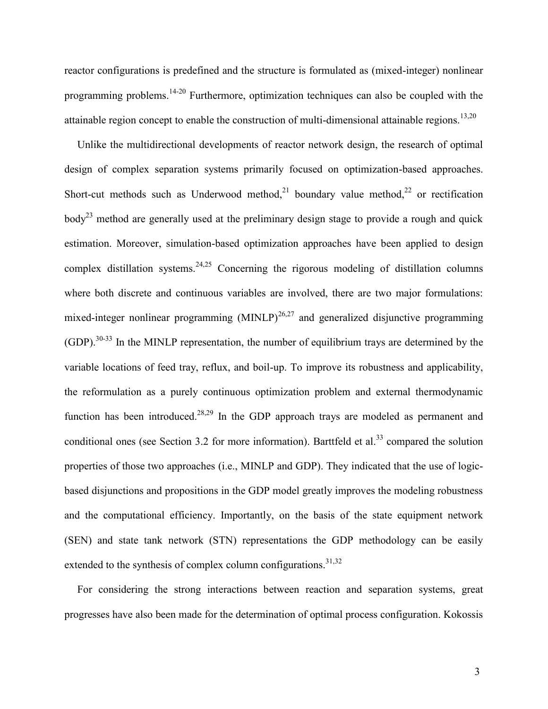reactor configurations is predefined and the structure is formulated as (mixed-integer) nonlinear programming problems.14-20 Furthermore, optimization techniques can also be coupled with the attainable region concept to enable the construction of multi-dimensional attainable regions.<sup>13,20</sup>

Unlike the multidirectional developments of reactor network design, the research of optimal design of complex separation systems primarily focused on optimization-based approaches. Short-cut methods such as Underwood method,<sup>21</sup> boundary value method,<sup>22</sup> or rectification  $body<sup>23</sup>$  method are generally used at the preliminary design stage to provide a rough and quick estimation. Moreover, simulation-based optimization approaches have been applied to design complex distillation systems.<sup>24,25</sup> Concerning the rigorous modeling of distillation columns where both discrete and continuous variables are involved, there are two major formulations: mixed-integer nonlinear programming  $(MINLP)^{26,27}$  and generalized disjunctive programming  $(GDP)$ .<sup>30-33</sup> In the MINLP representation, the number of equilibrium trays are determined by the variable locations of feed tray, reflux, and boil-up. To improve its robustness and applicability, the reformulation as a purely continuous optimization problem and external thermodynamic function has been introduced.<sup>28,29</sup> In the GDP approach trays are modeled as permanent and conditional ones (see Section 3.2 for more information). Barttfeld et al.<sup>33</sup> compared the solution properties of those two approaches (i.e., MINLP and GDP). They indicated that the use of logicbased disjunctions and propositions in the GDP model greatly improves the modeling robustness and the computational efficiency. Importantly, on the basis of the state equipment network (SEN) and state tank network (STN) representations the GDP methodology can be easily extended to the synthesis of complex column configurations. $31,32$ 

For considering the strong interactions between reaction and separation systems, great progresses have also been made for the determination of optimal process configuration. Kokossis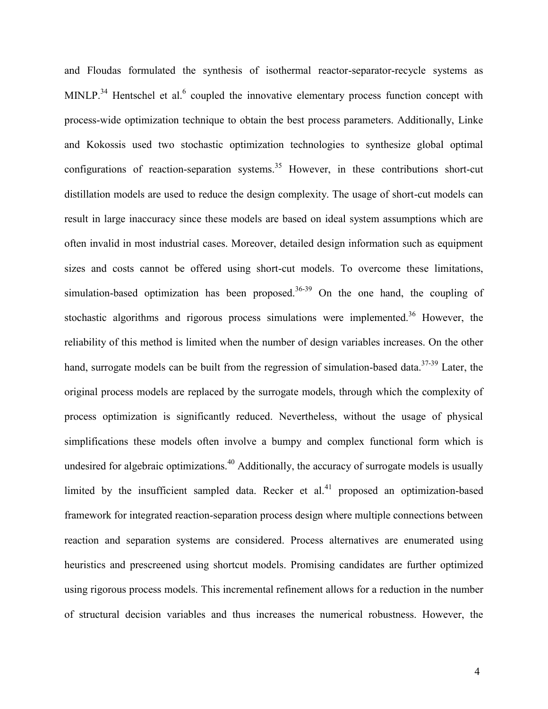and Floudas formulated the synthesis of isothermal reactor-separator-recycle systems as MINLP.<sup>34</sup> Hentschel et al.<sup>6</sup> coupled the innovative elementary process function concept with process-wide optimization technique to obtain the best process parameters. Additionally, Linke and Kokossis used two stochastic optimization technologies to synthesize global optimal configurations of reaction-separation systems.<sup>35</sup> However, in these contributions short-cut distillation models are used to reduce the design complexity. The usage of short-cut models can result in large inaccuracy since these models are based on ideal system assumptions which are often invalid in most industrial cases. Moreover, detailed design information such as equipment sizes and costs cannot be offered using short-cut models. To overcome these limitations, simulation-based optimization has been proposed.<sup>36-39</sup> On the one hand, the coupling of stochastic algorithms and rigorous process simulations were implemented.<sup>36</sup> However, the reliability of this method is limited when the number of design variables increases. On the other hand, surrogate models can be built from the regression of simulation-based data.<sup>37-39</sup> Later, the original process models are replaced by the surrogate models, through which the complexity of process optimization is significantly reduced. Nevertheless, without the usage of physical simplifications these models often involve a bumpy and complex functional form which is undesired for algebraic optimizations.<sup>40</sup> Additionally, the accuracy of surrogate models is usually limited by the insufficient sampled data. Recker et  $al^{41}$  proposed an optimization-based framework for integrated reaction-separation process design where multiple connections between reaction and separation systems are considered. Process alternatives are enumerated using heuristics and prescreened using shortcut models. Promising candidates are further optimized using rigorous process models. This incremental refinement allows for a reduction in the number of structural decision variables and thus increases the numerical robustness. However, the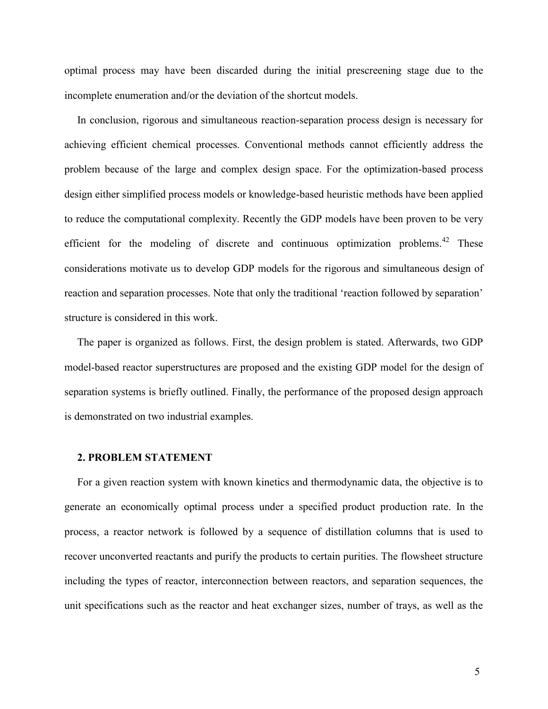optimal process may have been discarded during the initial prescreening stage due to the incomplete enumeration and/or the deviation of the shortcut models.

In conclusion, rigorous and simultaneous reaction-separation process design is necessary for achieving efficient chemical processes. Conventional methods cannot efficiently address the problem because of the large and complex design space. For the optimization-based process design either simplified process models or knowledge-based heuristic methods have been applied to reduce the computational complexity. Recently the GDP models have been proven to be very efficient for the modeling of discrete and continuous optimization problems.<sup>42</sup> These considerations motivate us to develop GDP models for the rigorous and simultaneous design of reaction and separation processes. Note that only the traditional 'reaction followed by separation' structure is considered in this work.

The paper is organized as follows. First, the design problem is stated. Afterwards, two GDP model-based reactor superstructures are proposed and the existing GDP model for the design of separation systems is briefly outlined. Finally, the performance of the proposed design approach is demonstrated on two industrial examples.

#### **2. PROBLEM STATEMENT**

For a given reaction system with known kinetics and thermodynamic data, the objective is to generate an economically optimal process under a specified product production rate. In the process, a reactor network is followed by a sequence of distillation columns that is used to recover unconverted reactants and purify the products to certain purities. The flowsheet structure including the types of reactor, interconnection between reactors, and separation sequences, the unit specifications such as the reactor and heat exchanger sizes, number of trays, as well as the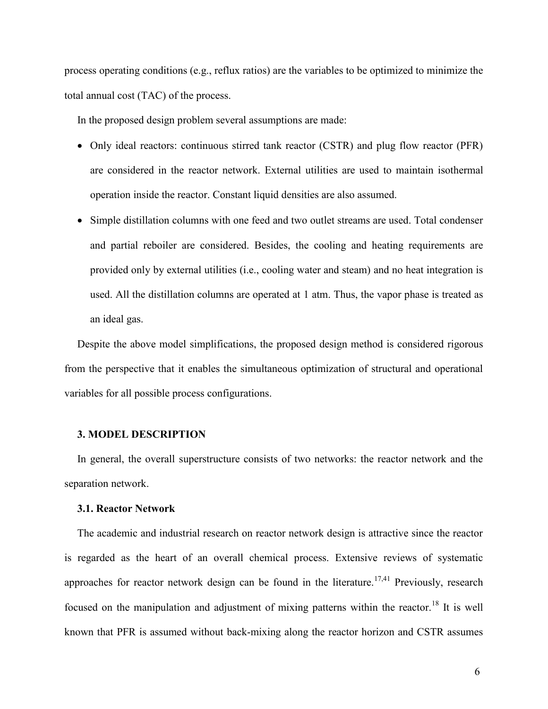process operating conditions (e.g., reflux ratios) are the variables to be optimized to minimize the total annual cost (TAC) of the process.

In the proposed design problem several assumptions are made:

- Only ideal reactors: continuous stirred tank reactor (CSTR) and plug flow reactor (PFR) are considered in the reactor network. External utilities are used to maintain isothermal operation inside the reactor. Constant liquid densities are also assumed.
- Simple distillation columns with one feed and two outlet streams are used. Total condenser and partial reboiler are considered. Besides, the cooling and heating requirements are provided only by external utilities (i.e., cooling water and steam) and no heat integration is used. All the distillation columns are operated at 1 atm. Thus, the vapor phase is treated as an ideal gas.

Despite the above model simplifications, the proposed design method is considered rigorous from the perspective that it enables the simultaneous optimization of structural and operational variables for all possible process configurations.

#### **3. MODEL DESCRIPTION**

In general, the overall superstructure consists of two networks: the reactor network and the separation network.

#### **3.1. Reactor Network**

The academic and industrial research on reactor network design is attractive since the reactor is regarded as the heart of an overall chemical process. Extensive reviews of systematic approaches for reactor network design can be found in the literature.<sup>17,41</sup> Previously, research focused on the manipulation and adjustment of mixing patterns within the reactor.<sup>18</sup> It is well known that PFR is assumed without back-mixing along the reactor horizon and CSTR assumes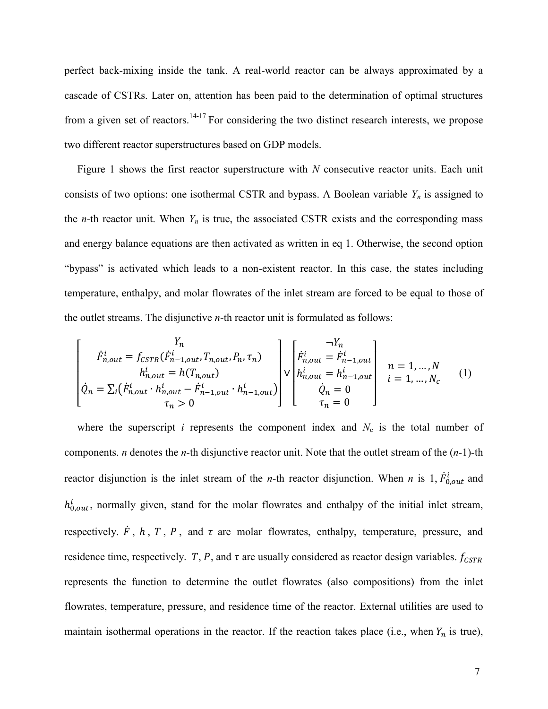perfect back-mixing inside the tank. A real-world reactor can be always approximated by a cascade of CSTRs. Later on, attention has been paid to the determination of optimal structures from a given set of reactors.<sup>14-17</sup> For considering the two distinct research interests, we propose two different reactor superstructures based on GDP models.

Figure 1 shows the first reactor superstructure with *N* consecutive reactor units. Each unit consists of two options: one isothermal CSTR and bypass. A Boolean variable  $Y_n$  is assigned to the *n*-th reactor unit. When  $Y_n$  is true, the associated CSTR exists and the corresponding mass and energy balance equations are then activated as written in eq 1. Otherwise, the second option "bypass" is activated which leads to a non-existent reactor. In this case, the states including temperature, enthalpy, and molar flowrates of the inlet stream are forced to be equal to those of the outlet streams. The disjunctive *n-*th reactor unit is formulated as follows:

$$
\begin{bmatrix}\n\dot{F}_{n,out}^{i} = f_{CSTR}(\dot{F}_{n-1,out}^{i}, T_{n,out}, P_n, \tau_n) \\
h_{n,out}^{i} = h(T_{n,out}) \\
\dot{Q}_n = \sum_i (\dot{F}_{n,out}^{i} \cdot h_{n,out}^{i} - \dot{F}_{n-1,out}^{i} \cdot h_{n-1,out}^{i})\n\end{bmatrix}\n\begin{bmatrix}\n\dot{F}_{n,out}^{i} = \dot{F}_{n-1,out}^{i} \\
h_{n,out}^{i} = h_{n-1,out}^{i} \\
h_{n,out}^{i} = h_{n-1,out}^{i} \\
\dot{Q}_n = 0 \\
\tau_n = 0\n\end{bmatrix}\n\begin{bmatrix}\n\dot{F}_{n,out}^{i} = \dot{F}_{n-1,out}^{i} \\
h_{n,out}^{i} = h_{n-1,out}^{i} \\
\dot{Q}_n = 0 \\
\tau_n = 0\n\end{bmatrix}\n\begin{bmatrix}\n\dot{F}_{n,out}^{i} = \dot{F}_{n-1,out}^{i} \\
\dot{Q}_n = 0 \\
\dot{Q}_n = 0 \\
\tau_n = 0\n\end{bmatrix}\n\begin{bmatrix}\n\dot{F}_{n,out}^{i} = \dot{F}_{n-1,out}^{i} \\
\dot{Q}_n = 0 \\
\dot{Q}_n = 0\n\end{bmatrix}\n\begin{bmatrix}\n\dot{Q}_n = \dot{Q}_n \\
\dot{Q}_n = 0 \\
\dot{Q}_n = 0\n\end{bmatrix}\n\begin{bmatrix}\n\dot{Q}_n = \dot{Q}_n \\
\dot{Q}_n = 0 \\
\dot{Q}_n = 0\n\end{bmatrix}\n\begin{bmatrix}\n\dot{Q}_n = \dot{Q}_n \\
\dot{Q}_n = 0 \\
\dot{Q}_n = 0\n\end{bmatrix}\n\begin{bmatrix}\n\dot{Q}_n = \dot{Q}_n \\
\dot{Q}_n = 0\n\end{bmatrix}\n\begin{bmatrix}\n\dot{Q}_n = \dot{Q}_n \\
\dot{Q}_n = 0\n\end{bmatrix}\n\begin{bmatrix}\n\dot{Q}_n = \dot{Q}_n \\
\dot{Q}_n = 0\n\end{bmatrix}\n\begin{bmatrix}\n\dot{Q}_n = \dot{Q}_n \\
\dot{Q}_n = 0\n\end{bmatrix}\n\begin{bmatrix}\n\dot{Q}_n = \dot{Q}_n \\
\dot{Q}_n = 0
$$

where the superscript  $i$  represents the component index and  $N_c$  is the total number of components. *n* denotes the *n-*th disjunctive reactor unit. Note that the outlet stream of the (*n-*1)*-*th reactor disjunction is the inlet stream of the *n*-th reactor disjunction. When *n* is 1,  $\dot{F}_{0,out}^{i}$  and  $h_{0,out}^i$ , normally given, stand for the molar flowrates and enthalpy of the initial inlet stream, respectively.  $\dot{F}$ , h, T, P, and  $\tau$  are molar flowrates, enthalpy, temperature, pressure, and residence time, respectively. T, P, and  $\tau$  are usually considered as reactor design variables.  $f_{\text{CSTR}}$ represents the function to determine the outlet flowrates (also compositions) from the inlet flowrates, temperature, pressure, and residence time of the reactor. External utilities are used to maintain isothermal operations in the reactor. If the reaction takes place (i.e., when  $Y_n$  is true),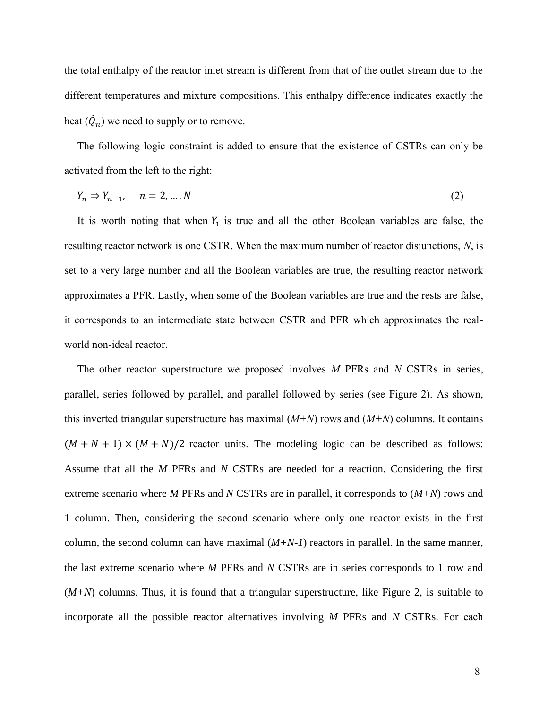the total enthalpy of the reactor inlet stream is different from that of the outlet stream due to the different temperatures and mixture compositions. This enthalpy difference indicates exactly the heat  $(Q_n)$  we need to supply or to remove.

The following logic constraint is added to ensure that the existence of CSTRs can only be activated from the left to the right:

$$
Y_n \Rightarrow Y_{n-1}, \quad n = 2, \dots, N \tag{2}
$$

It is worth noting that when  $Y_1$  is true and all the other Boolean variables are false, the resulting reactor network is one CSTR. When the maximum number of reactor disjunctions, *N*, is set to a very large number and all the Boolean variables are true, the resulting reactor network approximates a PFR. Lastly, when some of the Boolean variables are true and the rests are false, it corresponds to an intermediate state between CSTR and PFR which approximates the realworld non-ideal reactor.

The other reactor superstructure we proposed involves *M* PFRs and *N* CSTRs in series, parallel, series followed by parallel, and parallel followed by series (see Figure 2). As shown, this inverted triangular superstructure has maximal (*M+N*) rows and (*M+N*) columns. It contains  $(M + N + 1) \times (M + N)/2$  reactor units. The modeling logic can be described as follows: Assume that all the *M* PFRs and *N* CSTRs are needed for a reaction. Considering the first extreme scenario where *M* PFRs and *N* CSTRs are in parallel, it corresponds to (*M+N*) rows and 1 column. Then, considering the second scenario where only one reactor exists in the first column, the second column can have maximal  $(M+N-1)$  reactors in parallel. In the same manner, the last extreme scenario where *M* PFRs and *N* CSTRs are in series corresponds to 1 row and (*M+N*) columns. Thus, it is found that a triangular superstructure, like Figure 2, is suitable to incorporate all the possible reactor alternatives involving *M* PFRs and *N* CSTRs. For each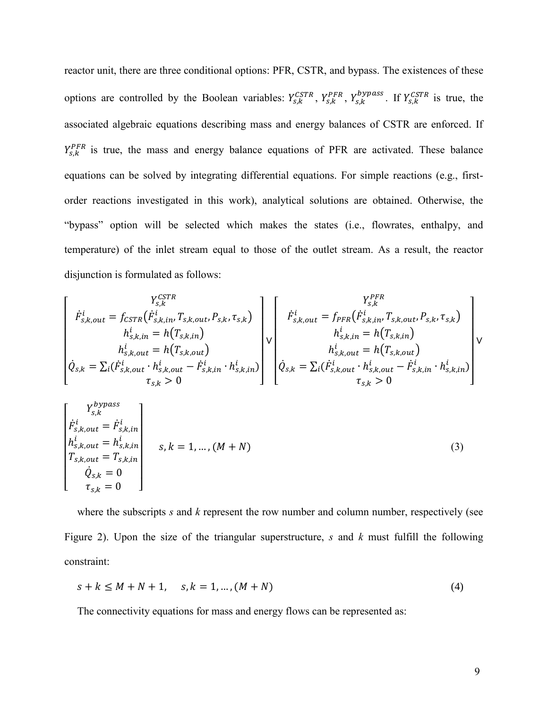reactor unit, there are three conditional options: PFR, CSTR, and bypass. The existences of these options are controlled by the Boolean variables:  $Y_{s,k}^{CSTR}$ ,  $Y_{s,k}^{PFR}$ ,  $Y_{s,k}^{bypass}$ . If  $Y_{s,k}^{CSTR}$  is true, the associated algebraic equations describing mass and energy balances of CSTR are enforced. If  $Y_{s,k}^{PFR}$  is true, the mass and energy balance equations of PFR are activated. These balance equations can be solved by integrating differential equations. For simple reactions (e.g., firstorder reactions investigated in this work), analytical solutions are obtained. Otherwise, the "bypass" option will be selected which makes the states (i.e., flowrates, enthalpy, and temperature) of the inlet stream equal to those of the outlet stream. As a result, the reactor disjunction is formulated as follows:

$$
\begin{bmatrix}\n\dot{F}_{s,k,out}^{i} = f_{CSTR}(\dot{F}_{s,k,in}^{i}, T_{s,k,out}, P_{s,k}, \tau_{s,k}) \\
h_{s,k,in}^{i} = h(T_{s,k,in}) \\
h_{s,k,out}^{i} = h(T_{s,k,out}) \\
h_{s,k,out}^{i} = h(T_{s,k,out}) \\
\dot{Q}_{s,k} = \sum_{i}(\dot{F}_{s,k,out}^{i} \cdot h_{s,k,out}^{i} - \dot{F}_{s,k,in}^{i} \cdot h_{s,k,in}^{i})\n\end{bmatrix} \times \begin{bmatrix}\nF_{s,k,out}^{i} = \int_{PFR} (\dot{F}_{s,k,in}^{i}, T_{s,k,out}, P_{s,k}, \tau_{s,k}) \\
h_{s,k,in}^{i} = h(T_{s,k,out}) \\
h_{s,k,out}^{i} = h(T_{s,k,out}) \\
h_{s,k,out}^{i} = h(T_{s,k,out}) \\
h_{s,k,out}^{i} - \dot{F}_{s,k,in}^{i} \cdot h_{s,k,in}^{i})\n\end{bmatrix} \times \begin{bmatrix}\n\dot{F}_{s,k,in}^{i} & \dot{F}_{s,k,in}^{i} \\
\dot{F}_{s,k,in}^{i} = h(T_{s,k,out}) \\
\dot{F}_{s,k,out}^{i} = h(T_{s,k,out}) \\
\dot{F}_{s,k,out}^{i} - \dot{F}_{s,k,in}^{i} \cdot h_{s,k,in}^{i}\n\end{bmatrix}
$$

$$
\begin{bmatrix}\nY_{s,k}^{bypass} \\
\dot{F}_{s,k,out}^{i} = \dot{F}_{s,k,in}^{i} \\
h_{s,k,out}^{i} = h_{s,k,in}^{i} \\
T_{s,k,out} = T_{s,k,in} \\
\dot{Q}_{s,k} = 0 \\
\tau_{s,k} = 0\n\end{bmatrix}
$$
\n(3)

where the subscripts *s* and *k* represent the row number and column number, respectively (see Figure 2). Upon the size of the triangular superstructure, *s* and *k* must fulfill the following constraint:

$$
s + k \le M + N + 1, \quad s, k = 1, \dots, (M + N)
$$
\n<sup>(4)</sup>

The connectivity equations for mass and energy flows can be represented as: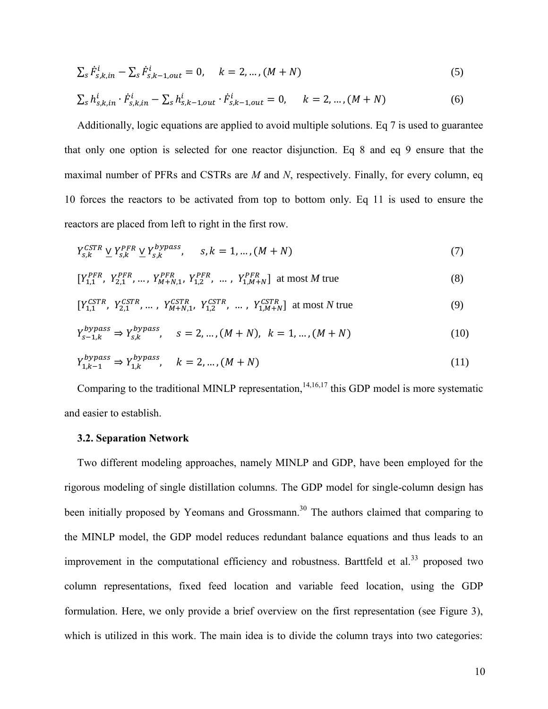$$
\sum_{s} \dot{F}_{s,k,in}^{i} - \sum_{s} \dot{F}_{s,k-1,out}^{i} = 0, \quad k = 2, ..., (M+N)
$$
\n(5)

$$
\sum_{s} h_{s,k,in}^{i} \cdot \dot{F}_{s,k,in}^{i} - \sum_{s} h_{s,k-1,out}^{i} \cdot \dot{F}_{s,k-1,out}^{i} = 0, \quad k = 2, ..., (M+N)
$$
 (6)

Additionally, logic equations are applied to avoid multiple solutions. Eq 7 is used to guarantee that only one option is selected for one reactor disjunction. Eq 8 and eq 9 ensure that the maximal number of PFRs and CSTRs are *M* and *N*, respectively. Finally, for every column, eq 10 forces the reactors to be activated from top to bottom only. Eq 11 is used to ensure the reactors are placed from left to right in the first row.

$$
Y_{s,k}^{CSTR} \underline{V} Y_{s,k}^{PFR} \underline{V} Y_{s,k}^{bypass}, \qquad s, k = 1, ..., (M + N)
$$
\n
$$
(7)
$$

$$
[Y_{1,1}^{PFR}, Y_{2,1}^{PFR}, \dots, Y_{M+N,1}^{PFR}, Y_{1,2}^{PFR}, \dots, Y_{1,M+N}^{PFR}] \text{ at most } M \text{ true}
$$
 (8)

$$
[Y_{1,1}^{CSTR}, Y_{2,1}^{CSTR}, \dots, Y_{M+N,1}^{CSTR}, Y_{1,2}^{CSTR}, \dots, Y_{1,M+N}^{CSTR}] \text{ at most } N \text{ true}
$$
 (9)

$$
Y_{s-1,k}^{bypass} \Rightarrow Y_{s,k}^{bypass}, \quad s = 2, ..., (M+N), \ k = 1, ..., (M+N)
$$
 (10)

$$
Y_{1,k-1}^{bypass} \Rightarrow Y_{1,k}^{bypass}, \quad k = 2, \dots, (M+N)
$$
\n(11)

Comparing to the traditional MINLP representation,<sup>14,16,17</sup> this GDP model is more systematic and easier to establish.

# **3.2. Separation Network**

Two different modeling approaches, namely MINLP and GDP, have been employed for the rigorous modeling of single distillation columns. The GDP model for single-column design has been initially proposed by Yeomans and Grossmann.<sup>30</sup> The authors claimed that comparing to the MINLP model, the GDP model reduces redundant balance equations and thus leads to an improvement in the computational efficiency and robustness. Barttfeld et al.<sup>33</sup> proposed two column representations, fixed feed location and variable feed location, using the GDP formulation. Here, we only provide a brief overview on the first representation (see Figure 3), which is utilized in this work. The main idea is to divide the column trays into two categories: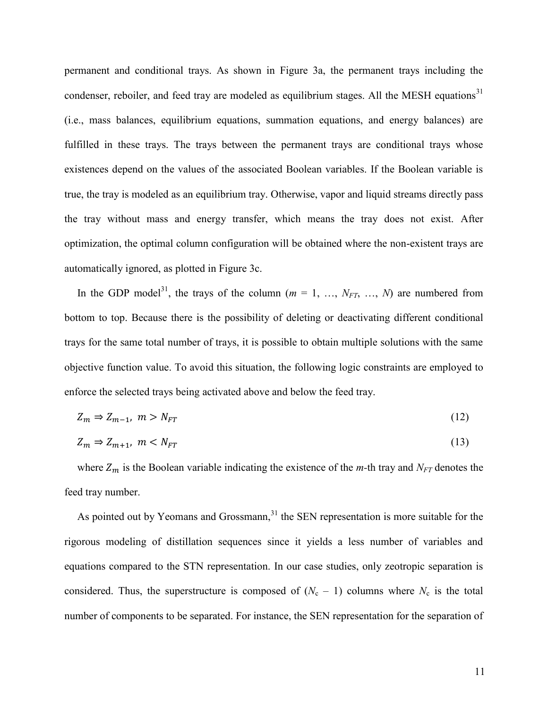permanent and conditional trays. As shown in Figure 3a, the permanent trays including the condenser, reboiler, and feed tray are modeled as equilibrium stages. All the MESH equations<sup>31</sup> (i.e., mass balances, equilibrium equations, summation equations, and energy balances) are fulfilled in these trays. The trays between the permanent trays are conditional trays whose existences depend on the values of the associated Boolean variables. If the Boolean variable is true, the tray is modeled as an equilibrium tray. Otherwise, vapor and liquid streams directly pass the tray without mass and energy transfer, which means the tray does not exist. After optimization, the optimal column configuration will be obtained where the non-existent trays are automatically ignored, as plotted in Figure 3c.

In the GDP model<sup>31</sup>, the trays of the column  $(m = 1, ..., N_{FT}, ..., N)$  are numbered from bottom to top. Because there is the possibility of deleting or deactivating different conditional trays for the same total number of trays, it is possible to obtain multiple solutions with the same objective function value. To avoid this situation, the following logic constraints are employed to enforce the selected trays being activated above and below the feed tray.

$$
Z_m \Rightarrow Z_{m-1}, \ m > N_{FT} \tag{12}
$$

$$
Z_m \Rightarrow Z_{m+1}, \ m < N_{FT} \tag{13}
$$

where  $Z_m$  is the Boolean variable indicating the existence of the *m*-th tray and  $N_{FT}$  denotes the feed tray number.

As pointed out by Yeomans and Grossmann,  $31$  the SEN representation is more suitable for the rigorous modeling of distillation sequences since it yields a less number of variables and equations compared to the STN representation. In our case studies, only zeotropic separation is considered. Thus, the superstructure is composed of  $(N_c - 1)$  columns where  $N_c$  is the total number of components to be separated. For instance, the SEN representation for the separation of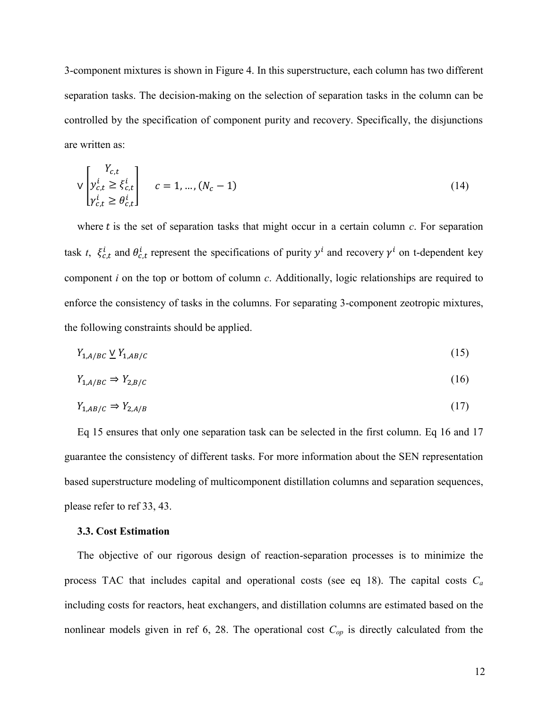3-component mixtures is shown in Figure 4. In this superstructure, each column has two different separation tasks. The decision-making on the selection of separation tasks in the column can be controlled by the specification of component purity and recovery. Specifically, the disjunctions are written as:

$$
\mathsf{V}\begin{bmatrix} Y_{c,t} \\ y_{c,t}^i \geq \xi_{c,t}^i \\ \gamma_{c,t}^i \geq \theta_{c,t}^i \end{bmatrix} \quad c = 1, \dots, (N_c - 1) \tag{14}
$$

where  $t$  is the set of separation tasks that might occur in a certain column  $c$ . For separation task *t*,  $\xi_{c,t}$  and  $\theta_{c,t}$  represent the specifications of purity  $y^i$  and recovery  $\gamma^i$  on t-dependent key component *i* on the top or bottom of column *c*. Additionally, logic relationships are required to enforce the consistency of tasks in the columns. For separating 3-component zeotropic mixtures, the following constraints should be applied.

$$
Y_{1,A/BC} \vee Y_{1,AB/C} \tag{15}
$$

$$
Y_{1,A/BC} \Rightarrow Y_{2,B/C} \tag{16}
$$

$$
Y_{1,AB/C} \Rightarrow Y_{2,A/B} \tag{17}
$$

Eq 15 ensures that only one separation task can be selected in the first column. Eq 16 and 17 guarantee the consistency of different tasks. For more information about the SEN representation based superstructure modeling of multicomponent distillation columns and separation sequences, please refer to ref 33, 43.

## **3.3. Cost Estimation**

The objective of our rigorous design of reaction-separation processes is to minimize the process TAC that includes capital and operational costs (see eq 18). The capital costs *C<sup>a</sup>* including costs for reactors, heat exchangers, and distillation columns are estimated based on the nonlinear models given in ref 6, 28. The operational cost  $C_{op}$  is directly calculated from the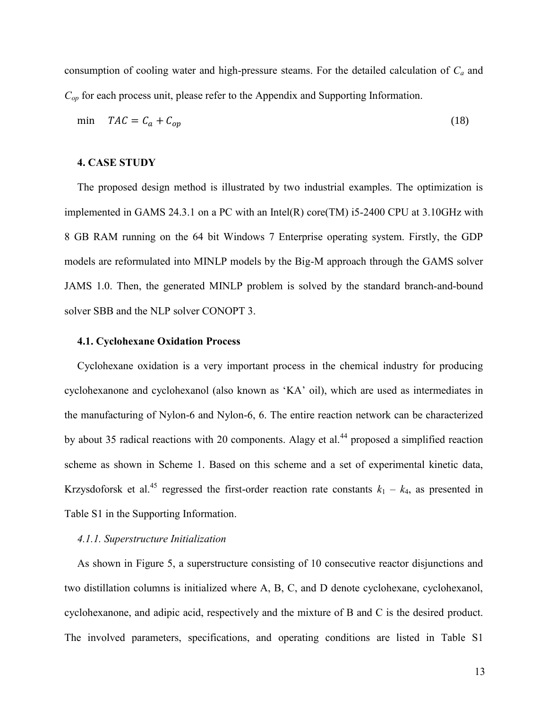consumption of cooling water and high-pressure steams. For the detailed calculation of *C<sup>a</sup>* and *Cop* for each process unit, please refer to the Appendix and Supporting Information.

$$
\min \quad TAC = C_a + C_{op} \tag{18}
$$

#### **4. CASE STUDY**

The proposed design method is illustrated by two industrial examples. The optimization is implemented in GAMS 24.3.1 on a PC with an Intel(R) core(TM) i5-2400 CPU at 3.10GHz with 8 GB RAM running on the 64 bit Windows 7 Enterprise operating system. Firstly, the GDP models are reformulated into MINLP models by the Big-M approach through the GAMS solver JAMS 1.0. Then, the generated MINLP problem is solved by the standard branch-and-bound solver SBB and the NLP solver CONOPT 3.

#### **4.1. Cyclohexane Oxidation Process**

Cyclohexane oxidation is a very important process in the chemical industry for producing cyclohexanone and cyclohexanol (also known as 'KA' oil), which are used as intermediates in the manufacturing of Nylon-6 and Nylon-6, 6. The entire reaction network can be characterized by about 35 radical reactions with 20 components. Alagy et al.<sup>44</sup> proposed a simplified reaction scheme as shown in Scheme 1. Based on this scheme and a set of experimental kinetic data, Krzysdoforsk et al.<sup>45</sup> regressed the first-order reaction rate constants  $k_1 - k_4$ , as presented in Table S1 in the Supporting Information.

# *4.1.1. Superstructure Initialization*

As shown in Figure 5, a superstructure consisting of 10 consecutive reactor disjunctions and two distillation columns is initialized where A, B, C, and D denote cyclohexane, cyclohexanol, cyclohexanone, and adipic acid, respectively and the mixture of B and C is the desired product. The involved parameters, specifications, and operating conditions are listed in Table S1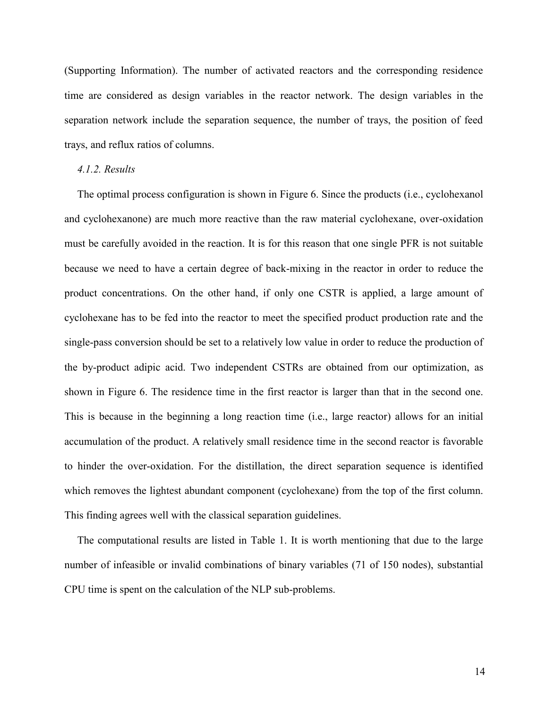(Supporting Information). The number of activated reactors and the corresponding residence time are considered as design variables in the reactor network. The design variables in the separation network include the separation sequence, the number of trays, the position of feed trays, and reflux ratios of columns.

## *4.1.2. Results*

The optimal process configuration is shown in Figure 6. Since the products (i.e., cyclohexanol and cyclohexanone) are much more reactive than the raw material cyclohexane, over-oxidation must be carefully avoided in the reaction. It is for this reason that one single PFR is not suitable because we need to have a certain degree of back-mixing in the reactor in order to reduce the product concentrations. On the other hand, if only one CSTR is applied, a large amount of cyclohexane has to be fed into the reactor to meet the specified product production rate and the single-pass conversion should be set to a relatively low value in order to reduce the production of the by-product adipic acid. Two independent CSTRs are obtained from our optimization, as shown in Figure 6. The residence time in the first reactor is larger than that in the second one. This is because in the beginning a long reaction time (i.e., large reactor) allows for an initial accumulation of the product. A relatively small residence time in the second reactor is favorable to hinder the over-oxidation. For the distillation, the direct separation sequence is identified which removes the lightest abundant component (cyclohexane) from the top of the first column. This finding agrees well with the classical separation guidelines.

The computational results are listed in Table 1. It is worth mentioning that due to the large number of infeasible or invalid combinations of binary variables (71 of 150 nodes), substantial CPU time is spent on the calculation of the NLP sub-problems.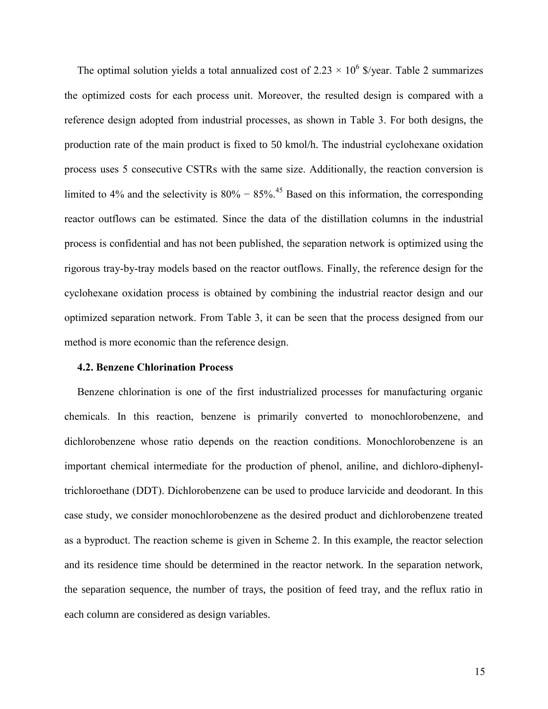The optimal solution yields a total annualized cost of 2.23  $\times$  10<sup>6</sup> \$/year. Table 2 summarizes the optimized costs for each process unit. Moreover, the resulted design is compared with a reference design adopted from industrial processes, as shown in Table 3. For both designs, the production rate of the main product is fixed to 50 kmol/h. The industrial cyclohexane oxidation process uses 5 consecutive CSTRs with the same size. Additionally, the reaction conversion is limited to 4% and the selectivity is  $80\% - 85\%$ .<sup>45</sup> Based on this information, the corresponding reactor outflows can be estimated. Since the data of the distillation columns in the industrial process is confidential and has not been published, the separation network is optimized using the rigorous tray-by-tray models based on the reactor outflows. Finally, the reference design for the cyclohexane oxidation process is obtained by combining the industrial reactor design and our optimized separation network. From Table 3, it can be seen that the process designed from our method is more economic than the reference design.

#### **4.2. Benzene Chlorination Process**

Benzene chlorination is one of the first industrialized processes for manufacturing organic chemicals. In this reaction, benzene is primarily converted to monochlorobenzene, and dichlorobenzene whose ratio depends on the reaction conditions. Monochlorobenzene is an important chemical intermediate for the production of phenol, aniline, and dichloro-diphenyltrichloroethane (DDT). Dichlorobenzene can be used to produce larvicide and deodorant. In this case study, we consider monochlorobenzene as the desired product and dichlorobenzene treated as a byproduct. The reaction scheme is given in Scheme 2. In this example, the reactor selection and its residence time should be determined in the reactor network. In the separation network, the separation sequence, the number of trays, the position of feed tray, and the reflux ratio in each column are considered as design variables.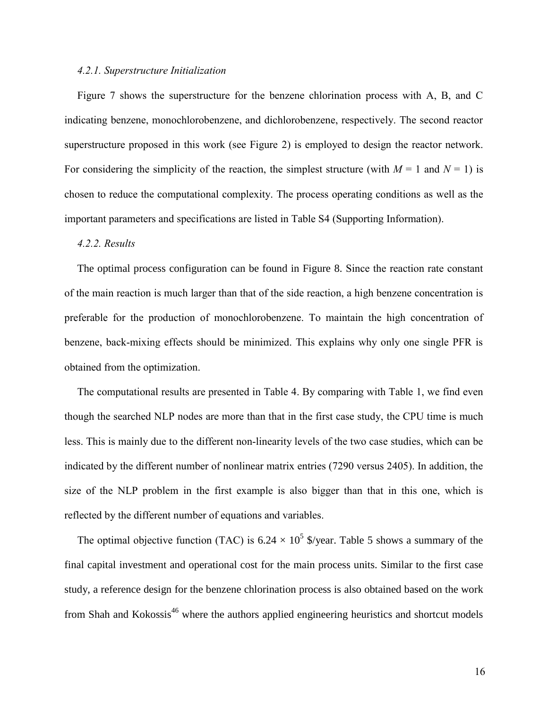#### *4.2.1. Superstructure Initialization*

Figure 7 shows the superstructure for the benzene chlorination process with A, B, and C indicating benzene, monochlorobenzene, and dichlorobenzene, respectively. The second reactor superstructure proposed in this work (see Figure 2) is employed to design the reactor network. For considering the simplicity of the reaction, the simplest structure (with  $M = 1$  and  $N = 1$ ) is chosen to reduce the computational complexity. The process operating conditions as well as the important parameters and specifications are listed in Table S4 (Supporting Information).

#### *4.2.2. Results*

The optimal process configuration can be found in Figure 8. Since the reaction rate constant of the main reaction is much larger than that of the side reaction, a high benzene concentration is preferable for the production of monochlorobenzene. To maintain the high concentration of benzene, back-mixing effects should be minimized. This explains why only one single PFR is obtained from the optimization.

The computational results are presented in Table 4. By comparing with Table 1, we find even though the searched NLP nodes are more than that in the first case study, the CPU time is much less. This is mainly due to the different non-linearity levels of the two case studies, which can be indicated by the different number of nonlinear matrix entries (7290 versus 2405). In addition, the size of the NLP problem in the first example is also bigger than that in this one, which is reflected by the different number of equations and variables.

The optimal objective function (TAC) is 6.24  $\times$  10<sup>5</sup> \$/year. Table 5 shows a summary of the final capital investment and operational cost for the main process units. Similar to the first case study, a reference design for the benzene chlorination process is also obtained based on the work from Shah and Kokossis<sup>46</sup> where the authors applied engineering heuristics and shortcut models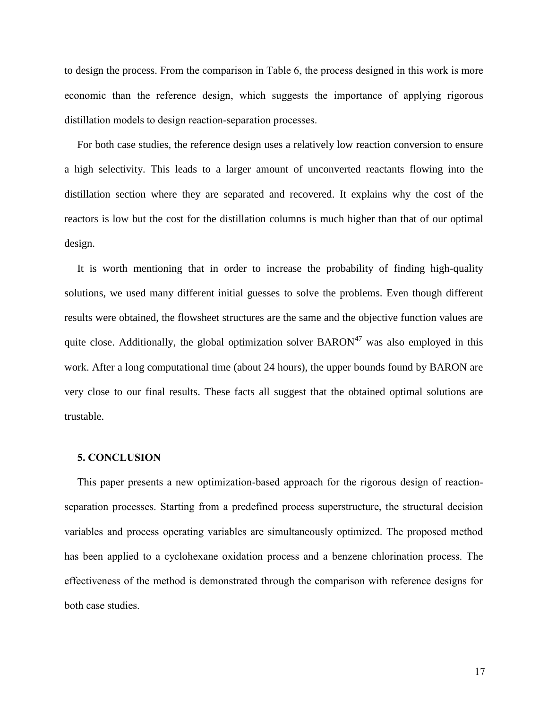to design the process. From the comparison in Table 6, the process designed in this work is more economic than the reference design, which suggests the importance of applying rigorous distillation models to design reaction-separation processes.

For both case studies, the reference design uses a relatively low reaction conversion to ensure a high selectivity. This leads to a larger amount of unconverted reactants flowing into the distillation section where they are separated and recovered. It explains why the cost of the reactors is low but the cost for the distillation columns is much higher than that of our optimal design.

It is worth mentioning that in order to increase the probability of finding high-quality solutions, we used many different initial guesses to solve the problems. Even though different results were obtained, the flowsheet structures are the same and the objective function values are quite close. Additionally, the global optimization solver  $BARON<sup>47</sup>$  was also employed in this work. After a long computational time (about 24 hours), the upper bounds found by BARON are very close to our final results. These facts all suggest that the obtained optimal solutions are trustable.

# **5. CONCLUSION**

This paper presents a new optimization-based approach for the rigorous design of reactionseparation processes. Starting from a predefined process superstructure, the structural decision variables and process operating variables are simultaneously optimized. The proposed method has been applied to a cyclohexane oxidation process and a benzene chlorination process. The effectiveness of the method is demonstrated through the comparison with reference designs for both case studies.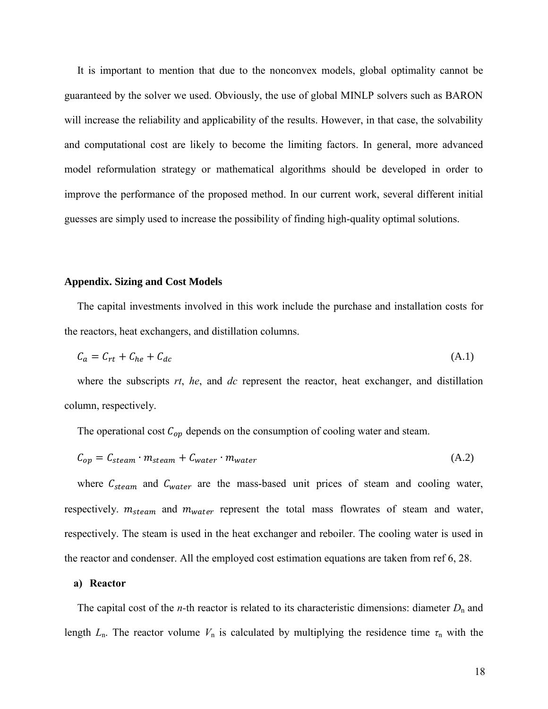It is important to mention that due to the nonconvex models, global optimality cannot be guaranteed by the solver we used. Obviously, the use of global MINLP solvers such as BARON will increase the reliability and applicability of the results. However, in that case, the solvability and computational cost are likely to become the limiting factors. In general, more advanced model reformulation strategy or mathematical algorithms should be developed in order to improve the performance of the proposed method. In our current work, several different initial guesses are simply used to increase the possibility of finding high-quality optimal solutions.

#### **Appendix. Sizing and Cost Models**

The capital investments involved in this work include the purchase and installation costs for the reactors, heat exchangers, and distillation columns.

$$
C_a = C_{rt} + C_{he} + C_{dc} \tag{A.1}
$$

where the subscripts *rt*, *he*, and *dc* represent the reactor, heat exchanger, and distillation column, respectively.

The operational cost  $C_{op}$  depends on the consumption of cooling water and steam.

$$
C_{op} = C_{steam} \cdot m_{steam} + C_{water} \cdot m_{water}
$$
\n(A.2)

where  $C_{steam}$  and  $C_{water}$  are the mass-based unit prices of steam and cooling water, respectively.  $m_{steam}$  and  $m_{water}$  represent the total mass flowrates of steam and water, respectively. The steam is used in the heat exchanger and reboiler. The cooling water is used in the reactor and condenser. All the employed cost estimation equations are taken from ref 6, 28.

#### **a) Reactor**

The capital cost of the *n*-th reactor is related to its characteristic dimensions: diameter  $D_n$  and length  $L_n$ . The reactor volume  $V_n$  is calculated by multiplying the residence time  $\tau_n$  with the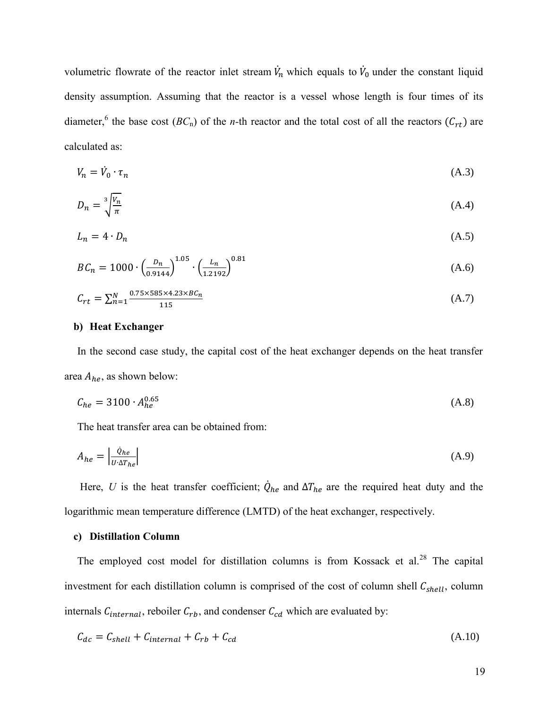volumetric flowrate of the reactor inlet stream  $\dot{V}_n$  which equals to  $\dot{V}_0$  under the constant liquid density assumption. Assuming that the reactor is a vessel whose length is four times of its diameter,<sup>6</sup> the base cost  $(BC_n)$  of the *n*-th reactor and the total cost of all the reactors  $(C_{rt})$  are calculated as:

$$
V_n = \dot{V}_0 \cdot \tau_n \tag{A.3}
$$

$$
D_n = \sqrt[3]{\frac{V_n}{\pi}} \tag{A.4}
$$

$$
L_n = 4 \cdot D_n \tag{A.5}
$$

$$
BC_n = 1000 \cdot \left(\frac{D_n}{0.9144}\right)^{1.05} \cdot \left(\frac{L_n}{1.2192}\right)^{0.81} \tag{A.6}
$$

$$
C_{rt} = \sum_{n=1}^{N} \frac{0.75 \times 585 \times 4.23 \times BC_n}{115}
$$
 (A.7)

# **b) Heat Exchanger**

In the second case study, the capital cost of the heat exchanger depends on the heat transfer area  $A_{he}$ , as shown below:

$$
C_{he} = 3100 \cdot A_{he}^{0.65} \tag{A.8}
$$

The heat transfer area can be obtained from:

$$
A_{he} = \left| \frac{\dot{Q}_{he}}{U \cdot \Delta T_{he}} \right| \tag{A.9}
$$

Here, *U* is the heat transfer coefficient;  $\dot{Q}_{he}$  and  $\Delta T_{he}$  are the required heat duty and the logarithmic mean temperature difference (LMTD) of the heat exchanger, respectively.

#### **c) Distillation Column**

The employed cost model for distillation columns is from Kossack et al.<sup>28</sup> The capital investment for each distillation column is comprised of the cost of column shell  $C_{shell}$ , column internals  $C_{internal}$ , reboiler  $C_{rb}$ , and condenser  $C_{cd}$  which are evaluated by:

$$
C_{dc} = C_{shell} + C_{internal} + C_{rb} + C_{cd}
$$
\n(A.10)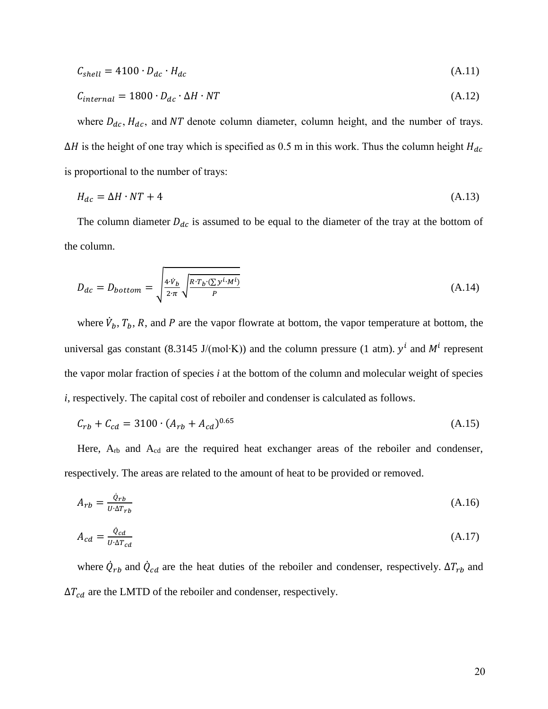$$
C_{shell} = 4100 \cdot D_{dc} \cdot H_{dc} \tag{A.11}
$$

$$
C_{internal} = 1800 \cdot D_{dc} \cdot \Delta H \cdot NT \tag{A.12}
$$

where  $D_{dc}$ ,  $H_{dc}$ , and NT denote column diameter, column height, and the number of trays.  $\Delta H$  is the height of one tray which is specified as 0.5 m in this work. Thus the column height  $H_{dc}$ is proportional to the number of trays:

$$
H_{dc} = \Delta H \cdot NT + 4 \tag{A.13}
$$

The column diameter  $D_{dc}$  is assumed to be equal to the diameter of the tray at the bottom of the column.

$$
D_{dc} = D_{bottom} = \sqrt{\frac{4 \cdot \dot{v}_b}{2 \cdot \pi} \sqrt{\frac{R \cdot T_b \cdot (\sum y^i \cdot M^i)}{P}}}
$$
(A.14)

where  $\dot{V}_b$ ,  $T_b$ , R, and P are the vapor flowrate at bottom, the vapor temperature at bottom, the universal gas constant (8.3145 J/(mol⋅K)) and the column pressure (1 atm).  $y<sup>i</sup>$  and  $M<sup>i</sup>$  represent the vapor molar fraction of species *i* at the bottom of the column and molecular weight of species *i*, respectively. The capital cost of reboiler and condenser is calculated as follows.

$$
C_{rb} + C_{cd} = 3100 \cdot (A_{rb} + A_{cd})^{0.65}
$$
 (A.15)

Here, A<sub>rb</sub> and A<sub>cd</sub> are the required heat exchanger areas of the reboiler and condenser, respectively. The areas are related to the amount of heat to be provided or removed.

$$
A_{rb} = \frac{\dot{Q}_{rb}}{U \cdot \Delta T_{rb}} \tag{A.16}
$$

$$
A_{cd} = \frac{\dot{Q}_{cd}}{U \cdot \Delta T_{cd}}
$$
(A.17)

where  $\dot{Q}_{rb}$  and  $\dot{Q}_{cd}$  are the heat duties of the reboiler and condenser, respectively.  $\Delta T_{rb}$  and  $\Delta T_{cd}$  are the LMTD of the reboiler and condenser, respectively.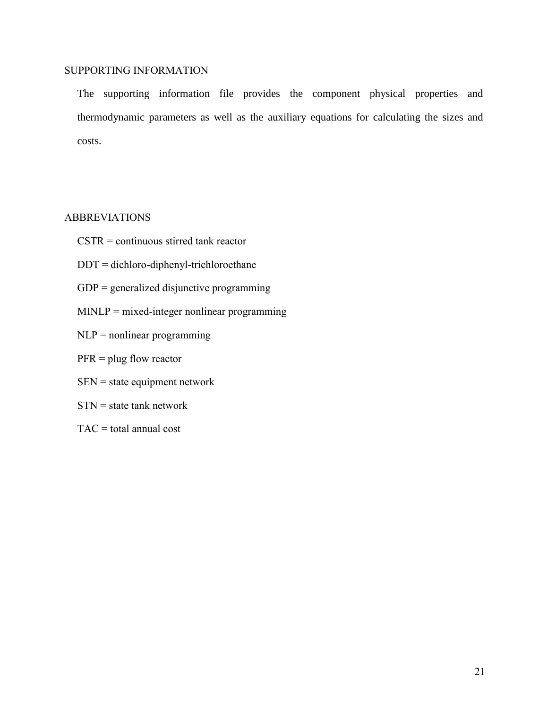# SUPPORTING INFORMATION

The supporting information file provides the component physical properties and thermodynamic parameters as well as the auxiliary equations for calculating the sizes and costs.

# ABBREVIATIONS

- CSTR = continuous stirred tank reactor
- DDT = dichloro-diphenyl-trichloroethane
- GDP = generalized disjunctive programming
- MINLP = mixed-integer nonlinear programming
- $NLP$  = nonlinear programming
- PFR = plug flow reactor
- SEN = state equipment network
- $STN = state$  tank network
- $TAC = total$  annual cost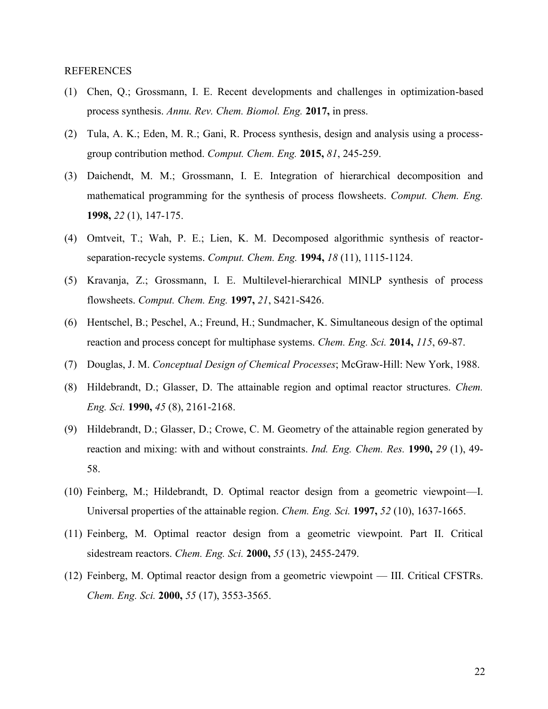#### REFERENCES

- (1) Chen, Q.; Grossmann, I. E. Recent developments and challenges in optimization-based process synthesis. *Annu. Rev. Chem. Biomol. Eng.* **2017,** in press.
- (2) Tula, A. K.; Eden, M. R.; Gani, R. Process synthesis, design and analysis using a processgroup contribution method. *Comput. Chem. Eng.* **2015,** *81*, 245-259.
- (3) Daichendt, M. M.; Grossmann, I. E. Integration of hierarchical decomposition and mathematical programming for the synthesis of process flowsheets. *Comput. Chem. Eng.* **1998,** *22* (1), 147-175.
- (4) Omtveit, T.; Wah, P. E.; Lien, K. M. Decomposed algorithmic synthesis of reactorseparation-recycle systems. *Comput. Chem. Eng.* **1994,** *18* (11), 1115-1124.
- (5) Kravanja, Z.; Grossmann, I. E. Multilevel-hierarchical MINLP synthesis of process flowsheets. *Comput. Chem. Eng.* **1997,** *21*, S421-S426.
- (6) Hentschel, B.; Peschel, A.; Freund, H.; Sundmacher, K. Simultaneous design of the optimal reaction and process concept for multiphase systems. *Chem. Eng. Sci.* **2014,** *115*, 69-87.
- (7) Douglas, J. M. *Conceptual Design of Chemical Processes*; McGraw-Hill: New York, 1988.
- (8) Hildebrandt, D.; Glasser, D. The attainable region and optimal reactor structures. *Chem. Eng. Sci.* **1990,** *45* (8), 2161-2168.
- (9) Hildebrandt, D.; Glasser, D.; Crowe, C. M. Geometry of the attainable region generated by reaction and mixing: with and without constraints. *Ind. Eng. Chem. Res.* **1990,** *29* (1), 49- 58.
- (10) Feinberg, M.; Hildebrandt, D. Optimal reactor design from a geometric viewpoint—I. Universal properties of the attainable region. *Chem. Eng. Sci.* **1997,** *52* (10), 1637-1665.
- (11) Feinberg, M. Optimal reactor design from a geometric viewpoint. Part II. Critical sidestream reactors. *Chem. Eng. Sci.* **2000,** *55* (13), 2455-2479.
- (12) Feinberg, M. Optimal reactor design from a geometric viewpoint III. Critical CFSTRs. *Chem. Eng. Sci.* **2000,** *55* (17), 3553-3565.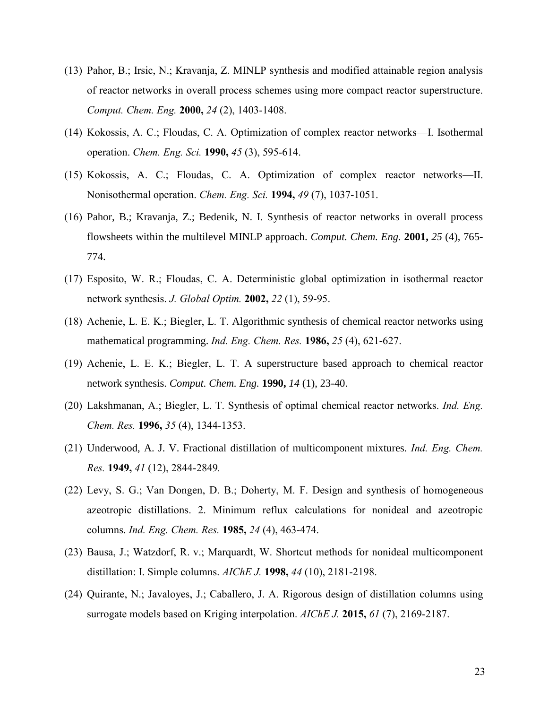- (13) Pahor, B.; Irsic, N.; Kravanja, Z. MINLP synthesis and modified attainable region analysis of reactor networks in overall process schemes using more compact reactor superstructure. *Comput. Chem. Eng.* **2000,** *24* (2), 1403-1408.
- (14) Kokossis, A. C.; Floudas, C. A. Optimization of complex reactor networks—I. Isothermal operation. *Chem. Eng. Sci.* **1990,** *45* (3), 595-614.
- (15) Kokossis, A. C.; Floudas, C. A. Optimization of complex reactor networks—II. Nonisothermal operation. *Chem. Eng. Sci.* **1994,** *49* (7), 1037-1051.
- (16) Pahor, B.; Kravanja, Z.; Bedenik, N. I. Synthesis of reactor networks in overall process flowsheets within the multilevel MINLP approach. *Comput. Chem. Eng.* **2001,** *25* (4), 765- 774.
- (17) Esposito, W. R.; Floudas, C. A. Deterministic global optimization in isothermal reactor network synthesis. *J. Global Optim.* **2002,** *22* (1), 59-95.
- (18) Achenie, L. E. K.; Biegler, L. T. Algorithmic synthesis of chemical reactor networks using mathematical programming. *Ind. Eng. Chem. Res.* **1986,** *25* (4), 621-627.
- (19) Achenie, L. E. K.; Biegler, L. T. A superstructure based approach to chemical reactor network synthesis. *Comput. Chem. Eng.* **1990,** *14* (1), 23-40.
- (20) Lakshmanan, A.; Biegler, L. T. Synthesis of optimal chemical reactor networks. *Ind. Eng. Chem. Res.* **1996,** *35* (4), 1344-1353.
- (21) Underwood, A. J. V. Fractional distillation of multicomponent mixtures. *Ind. Eng. Chem. Res.* **1949,** *41* (12), 2844-2849*.*
- (22) Levy, S. G.; Van Dongen, D. B.; Doherty, M. F. Design and synthesis of homogeneous azeotropic distillations. 2. Minimum reflux calculations for nonideal and azeotropic columns. *Ind. Eng. Chem. Res.* **1985,** *24* (4), 463-474.
- (23) Bausa, J.; Watzdorf, R. v.; Marquardt, W. Shortcut methods for nonideal multicomponent distillation: I. Simple columns. *AIChE J.* **1998,** *44* (10), 2181-2198.
- (24) Quirante, N.; Javaloyes, J.; Caballero, J. A. Rigorous design of distillation columns using surrogate models based on Kriging interpolation. *AIChE J.* **2015,** *61* (7), 2169-2187.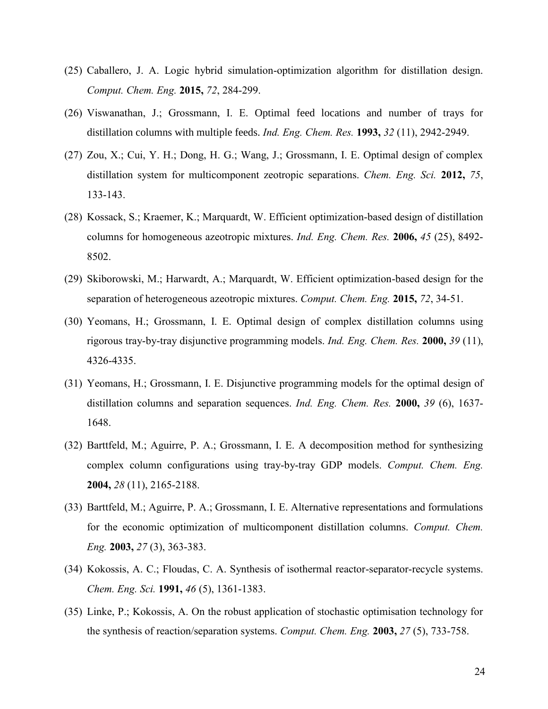- (25) Caballero, J. A. Logic hybrid simulation-optimization algorithm for distillation design. *Comput. Chem. Eng.* **2015,** *72*, 284-299.
- (26) Viswanathan, J.; Grossmann, I. E. Optimal feed locations and number of trays for distillation columns with multiple feeds. *Ind. Eng. Chem. Res.* **1993,** *32* (11), 2942-2949.
- (27) Zou, X.; Cui, Y. H.; Dong, H. G.; Wang, J.; Grossmann, I. E. Optimal design of complex distillation system for multicomponent zeotropic separations. *Chem. Eng. Sci.* **2012,** *75*, 133-143.
- (28) Kossack, S.; Kraemer, K.; Marquardt, W. Efficient optimization-based design of distillation columns for homogeneous azeotropic mixtures. *Ind. Eng. Chem. Res.* **2006,** *45* (25), 8492- 8502.
- (29) Skiborowski, M.; Harwardt, A.; Marquardt, W. Efficient optimization-based design for the separation of heterogeneous azeotropic mixtures. *Comput. Chem. Eng.* **2015,** *72*, 34-51.
- (30) Yeomans, H.; Grossmann, I. E. Optimal design of complex distillation columns using rigorous tray-by-tray disjunctive programming models. *Ind. Eng. Chem. Res.* **2000,** *39* (11), 4326-4335.
- (31) Yeomans, H.; Grossmann, I. E. Disjunctive programming models for the optimal design of distillation columns and separation sequences. *Ind. Eng. Chem. Res.* **2000,** *39* (6), 1637- 1648.
- (32) Barttfeld, M.; Aguirre, P. A.; Grossmann, I. E. A decomposition method for synthesizing complex column configurations using tray-by-tray GDP models. *Comput. Chem. Eng.* **2004,** *28* (11), 2165-2188.
- (33) Barttfeld, M.; Aguirre, P. A.; Grossmann, I. E. Alternative representations and formulations for the economic optimization of multicomponent distillation columns. *Comput. Chem. Eng.* **2003,** *27* (3), 363-383.
- (34) Kokossis, A. C.; Floudas, C. A. Synthesis of isothermal reactor-separator-recycle systems. *Chem. Eng. Sci.* **1991,** *46* (5), 1361-1383.
- (35) Linke, P.; Kokossis, A. On the robust application of stochastic optimisation technology for the synthesis of reaction/separation systems. *Comput. Chem. Eng.* **2003,** *27* (5), 733-758.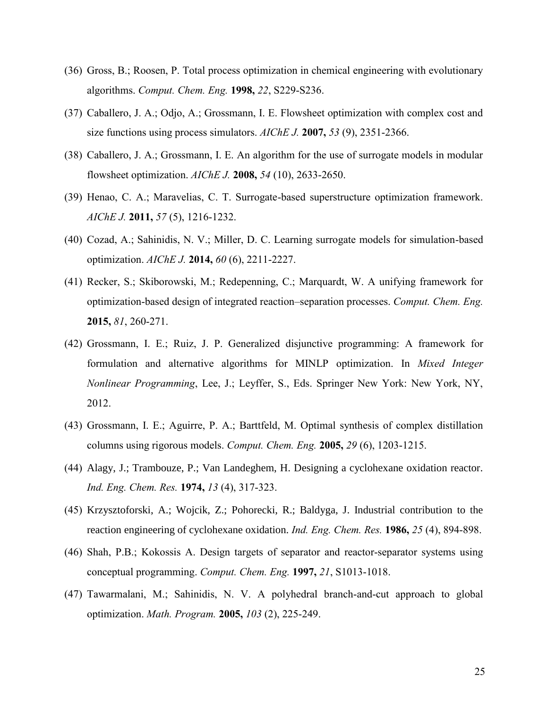- (36) Gross, B.; Roosen, P. Total process optimization in chemical engineering with evolutionary algorithms. *Comput. Chem. Eng.* **1998,** *22*, S229-S236.
- (37) Caballero, J. A.; Odjo, A.; Grossmann, I. E. Flowsheet optimization with complex cost and size functions using process simulators. *AIChE J.* **2007,** *53* (9), 2351-2366.
- (38) Caballero, J. A.; Grossmann, I. E. An algorithm for the use of surrogate models in modular flowsheet optimization. *AIChE J.* **2008,** *54* (10), 2633-2650.
- (39) Henao, C. A.; Maravelias, C. T. Surrogate-based superstructure optimization framework. *AIChE J.* **2011,** *57* (5), 1216-1232.
- (40) Cozad, A.; Sahinidis, N. V.; Miller, D. C. Learning surrogate models for simulation-based optimization. *AIChE J.* **2014,** *60* (6), 2211-2227.
- (41) Recker, S.; Skiborowski, M.; Redepenning, C.; Marquardt, W. A unifying framework for optimization-based design of integrated reaction–separation processes. *Comput. Chem. Eng.* **2015,** *81*, 260-271.
- (42) Grossmann, I. E.; Ruiz, J. P. Generalized disjunctive programming: A framework for formulation and alternative algorithms for MINLP optimization. In *Mixed Integer Nonlinear Programming*, Lee, J.; Leyffer, S., Eds. Springer New York: New York, NY, 2012.
- (43) Grossmann, I. E.; Aguirre, P. A.; Barttfeld, M. Optimal synthesis of complex distillation columns using rigorous models. *Comput. Chem. Eng.* **2005,** *29* (6), 1203-1215.
- (44) Alagy, J.; Trambouze, P.; Van Landeghem, H. Designing a cyclohexane oxidation reactor. *Ind. Eng. Chem. Res.* **1974,** *13* (4), 317-323.
- (45) Krzysztoforski, A.; Wojcik, Z.; Pohorecki, R.; Baldyga, J. Industrial contribution to the reaction engineering of cyclohexane oxidation. *Ind. Eng. Chem. Res.* **1986,** *25* (4), 894-898.
- (46) Shah, P.B.; Kokossis A. Design targets of separator and reactor-separator systems using conceptual programming. *Comput. Chem. Eng.* **1997,** *21*, S1013-1018.
- (47) Tawarmalani, M.; Sahinidis, N. V. A polyhedral branch-and-cut approach to global optimization. *Math. Program.* **2005,** *103* (2), 225-249.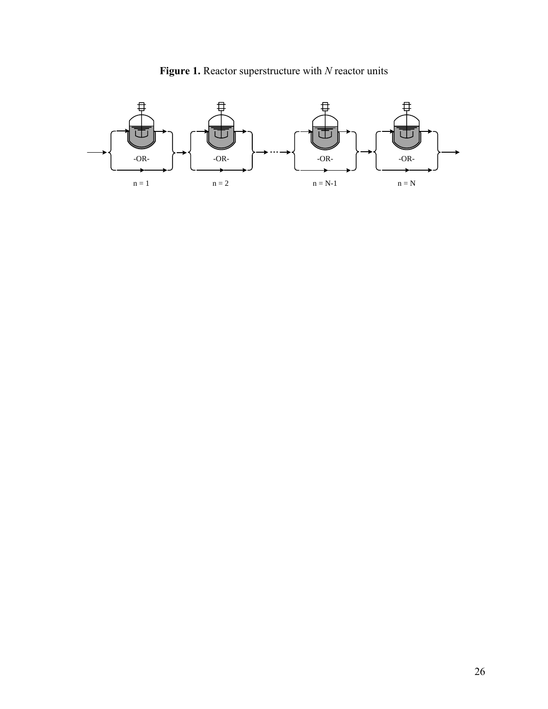

**Figure 1.** Reactor superstructure with *N* reactor units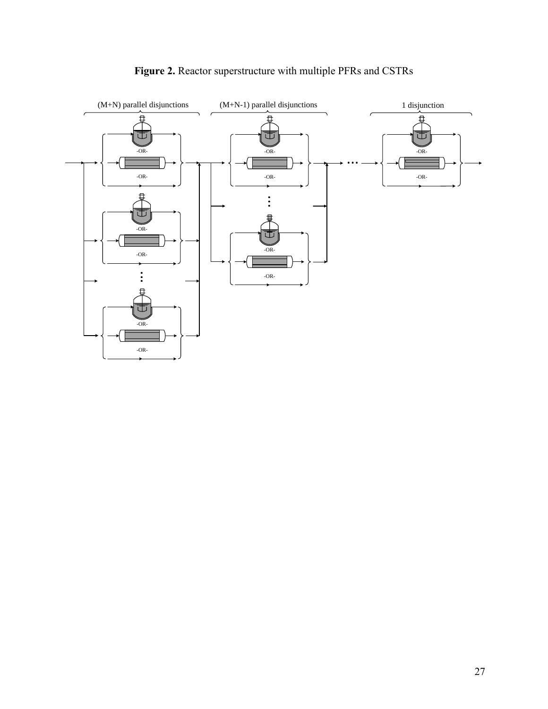

# **Figure 2.** Reactor superstructure with multiple PFRs and CSTRs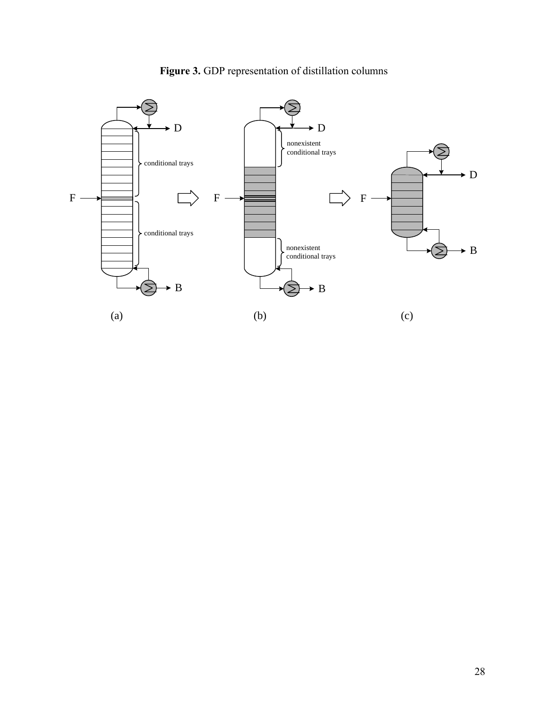

# **Figure 3.** GDP representation of distillation columns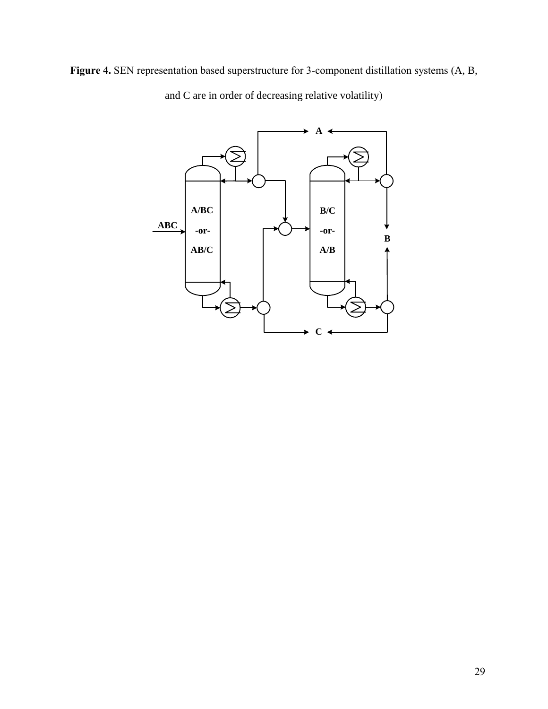**Figure 4.** SEN representation based superstructure for 3-component distillation systems (A, B,



and C are in order of decreasing relative volatility)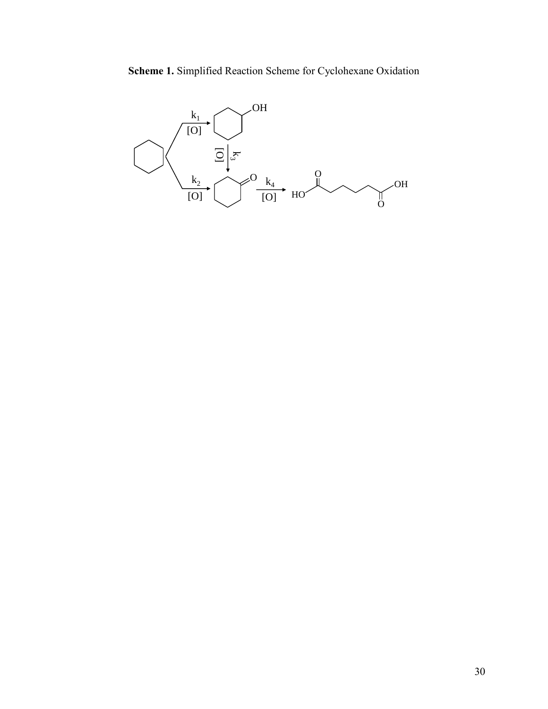# **Scheme 1.** Simplified Reaction Scheme for Cyclohexane Oxidation

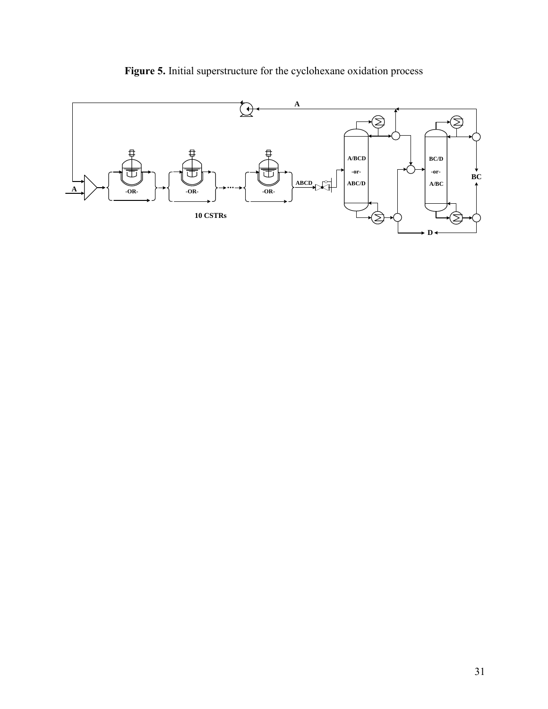

**Figure 5.** Initial superstructure for the cyclohexane oxidation process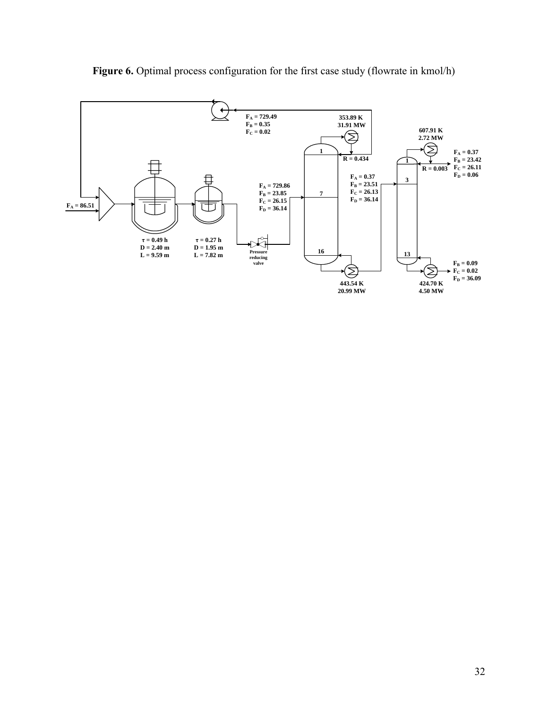

Figure 6. Optimal process configuration for the first case study (flowrate in kmol/h)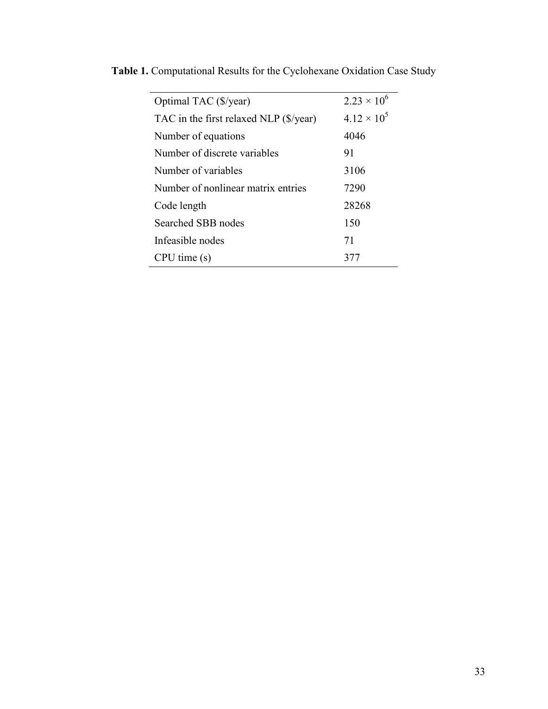| Optimal TAC (\$/year)                  | $2.23 \times 10^{6}$ |
|----------------------------------------|----------------------|
| TAC in the first relaxed NLP (\$/year) | $4.12 \times 10^{5}$ |
| Number of equations                    | 4046                 |
| Number of discrete variables           | 91                   |
| Number of variables                    | 3106                 |
| Number of nonlinear matrix entries     | 7290                 |
| Code length                            | 28268                |
| Searched SBB nodes                     | 150                  |
| Infeasible nodes                       | 71                   |
| $CPU$ time $(s)$                       |                      |
|                                        |                      |

**Table 1.** Computational Results for the Cyclohexane Oxidation Case Study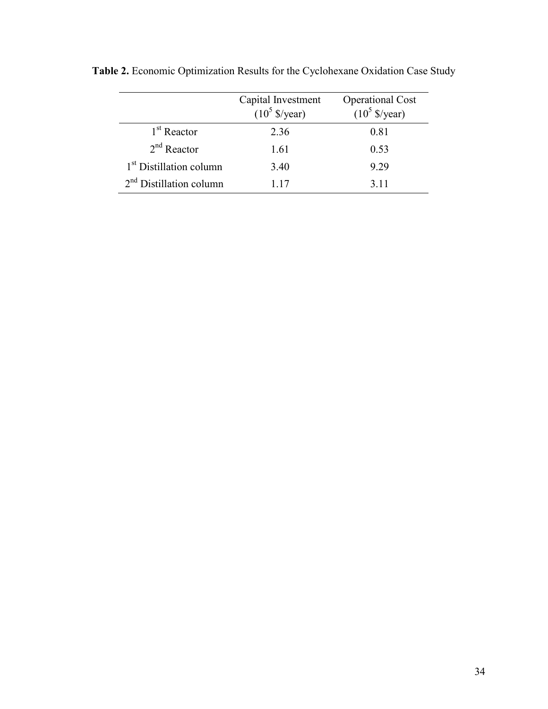|                                     | Capital Investment<br>$(10^5 \text{ S/year})$ | <b>Operational Cost</b><br>$(10^5 \text{ S/year})$ |
|-------------------------------------|-----------------------------------------------|----------------------------------------------------|
| 1 <sup>st</sup> Reactor             | 2.36                                          | 0.81                                               |
| $2nd$ Reactor                       | 1.61                                          | 0.53                                               |
| 1 <sup>st</sup> Distillation column | 3.40                                          | 9.29                                               |
| $2nd$ Distillation column           | 117                                           | 3.11                                               |

**Table 2.** Economic Optimization Results for the Cyclohexane Oxidation Case Study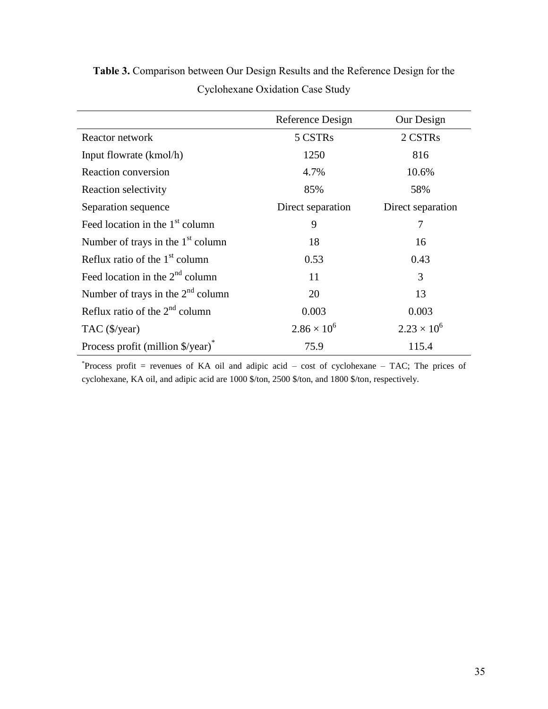|                                        | Reference Design     | Our Design           |
|----------------------------------------|----------------------|----------------------|
| Reactor network                        | 5 CSTRs              | 2 CSTRs              |
| Input flowrate (kmol/h)                | 1250                 | 816                  |
| Reaction conversion                    | 4.7%                 | 10.6%                |
| Reaction selectivity                   | 85%                  | 58%                  |
| Separation sequence                    | Direct separation    | Direct separation    |
| Feed location in the $1st$ column      | 9                    | 7                    |
| Number of trays in the $1st$ column    | 18                   | 16                   |
| Reflux ratio of the $1st$ column       | 0.53                 | 0.43                 |
| Feed location in the $2nd$ column      | 11                   | 3                    |
| Number of trays in the $2^{nd}$ column | 20                   | 13                   |
| Reflux ratio of the $2^{nd}$ column    | 0.003                | 0.003                |
| TAC (\$/year)                          | $2.86 \times 10^{6}$ | $2.23 \times 10^{6}$ |
| Process profit (million \$/year)*      | 75.9                 | 115.4                |

**Table 3.** Comparison between Our Design Results and the Reference Design for the Cyclohexane Oxidation Case Study

\*Process profit = revenues of KA oil and adipic acid – cost of cyclohexane – TAC; The prices of cyclohexane, KA oil, and adipic acid are 1000 \$/ton, 2500 \$/ton, and 1800 \$/ton, respectively.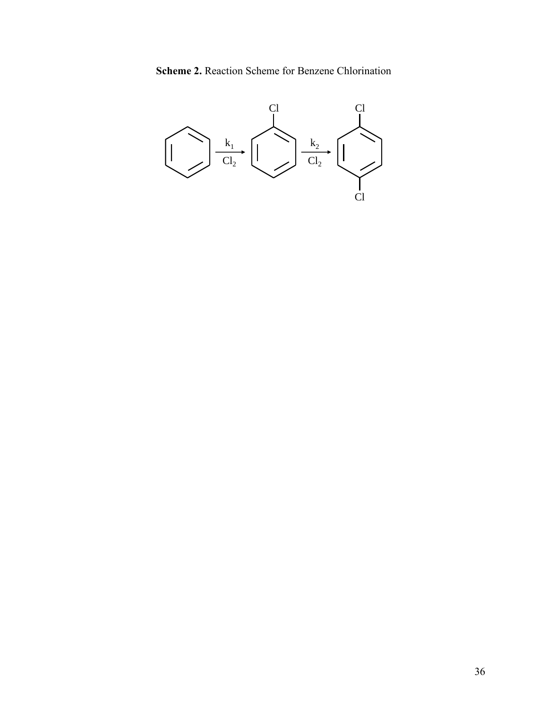**Scheme 2.** Reaction Scheme for Benzene Chlorination

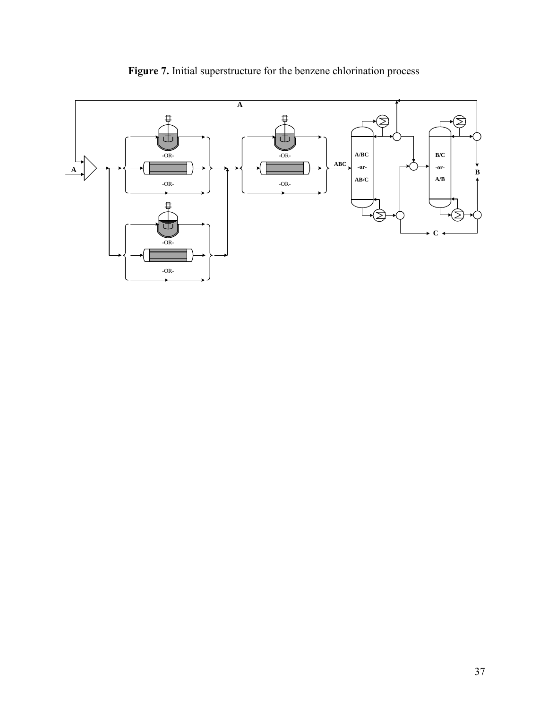

**Figure 7.** Initial superstructure for the benzene chlorination process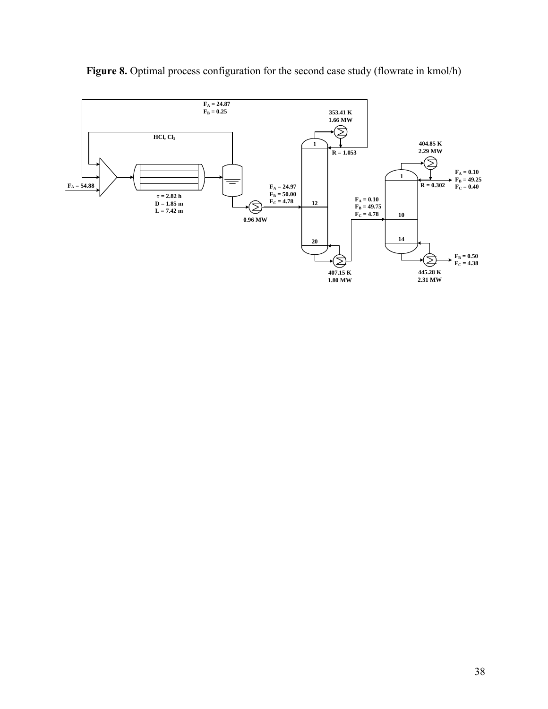

**Figure 8.** Optimal process configuration for the second case study (flowrate in kmol/h)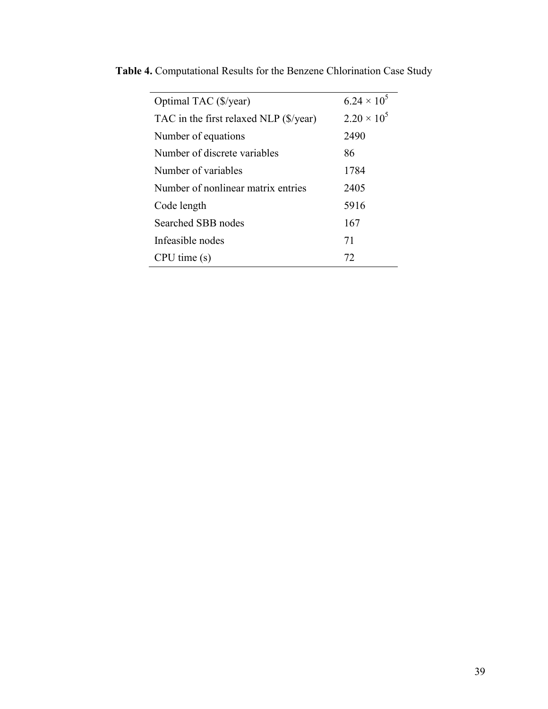| Optimal TAC (\$/year)                  | $6.24 \times 10^5$ |
|----------------------------------------|--------------------|
| TAC in the first relaxed NLP (\$/year) | $2.20 \times 10^5$ |
| Number of equations                    | 2490               |
| Number of discrete variables           | 86                 |
| Number of variables                    | 1784               |
| Number of nonlinear matrix entries     | 2405               |
| Code length                            | 5916               |
| Searched SBB nodes                     | 167                |
| Infeasible nodes                       | 71                 |
| $CPU$ time $(s)$                       | 72                 |
|                                        |                    |

**Table 4.** Computational Results for the Benzene Chlorination Case Study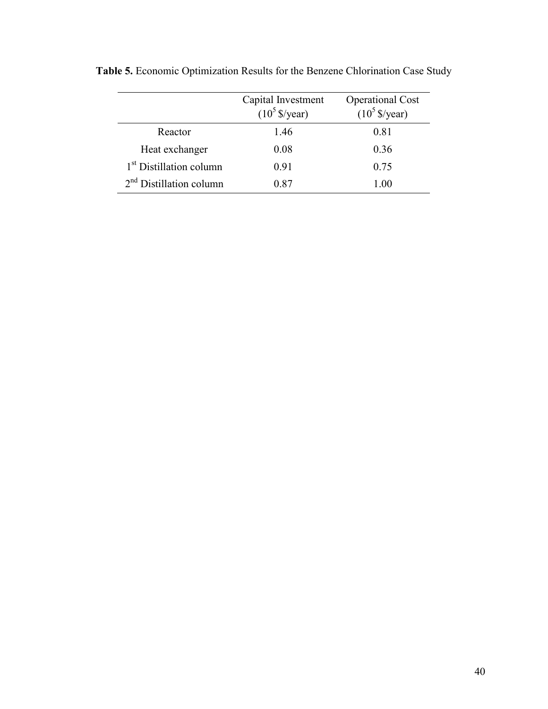|                                     | Capital Investment<br>$(10^5 \frac{e}{2} \text{year})$ | <b>Operational Cost</b><br>$(10^5 \frac{S}{year})$ |
|-------------------------------------|--------------------------------------------------------|----------------------------------------------------|
| Reactor                             | 1.46                                                   | 0.81                                               |
| Heat exchanger                      | 0.08                                                   | 0.36                                               |
| 1 <sup>st</sup> Distillation column | 0.91                                                   | 0.75                                               |
| $2nd$ Distillation column           | 0.87                                                   | 1.00                                               |

**Table 5.** Economic Optimization Results for the Benzene Chlorination Case Study